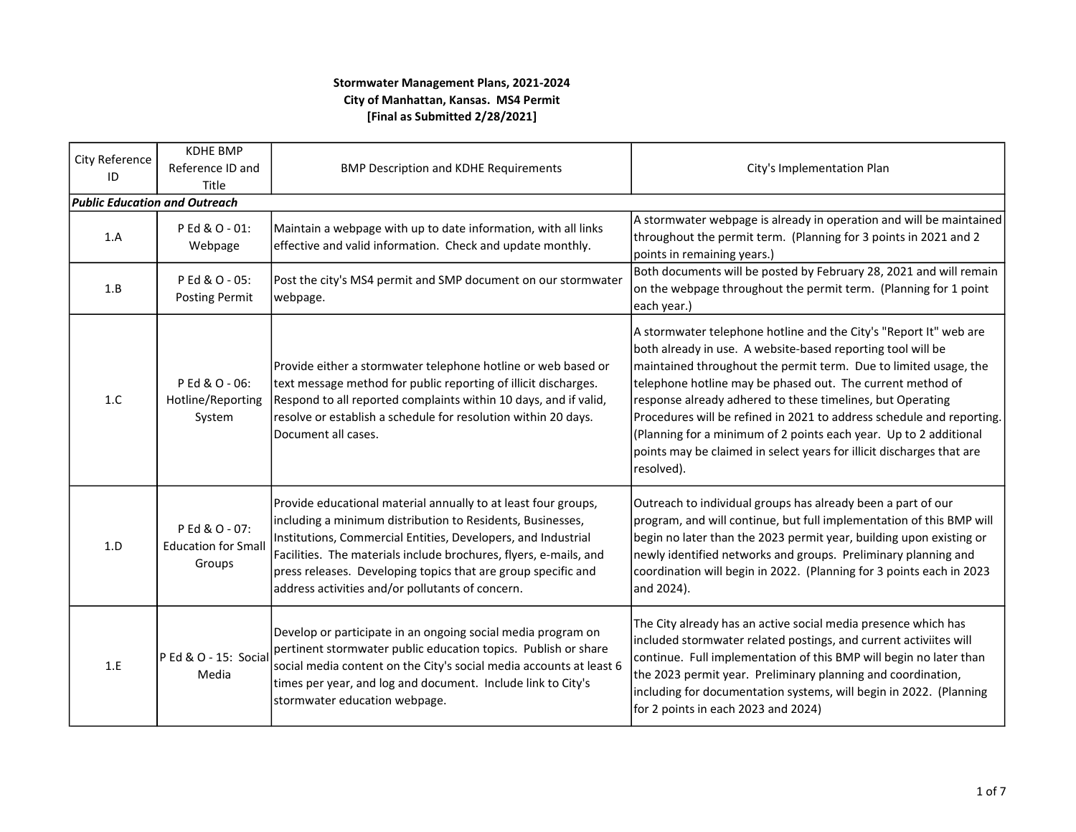| City Reference                       | <b>KDHE BMP</b>                                        |                                                                                                                                                                                                                                                                                                                                                                                         | City's Implementation Plan                                                                                                                                                                                                                                                                                                                                                                                                                                                                                                                                            |  |  |
|--------------------------------------|--------------------------------------------------------|-----------------------------------------------------------------------------------------------------------------------------------------------------------------------------------------------------------------------------------------------------------------------------------------------------------------------------------------------------------------------------------------|-----------------------------------------------------------------------------------------------------------------------------------------------------------------------------------------------------------------------------------------------------------------------------------------------------------------------------------------------------------------------------------------------------------------------------------------------------------------------------------------------------------------------------------------------------------------------|--|--|
| ID                                   | Reference ID and                                       | <b>BMP Description and KDHE Requirements</b>                                                                                                                                                                                                                                                                                                                                            |                                                                                                                                                                                                                                                                                                                                                                                                                                                                                                                                                                       |  |  |
|                                      | Title                                                  |                                                                                                                                                                                                                                                                                                                                                                                         |                                                                                                                                                                                                                                                                                                                                                                                                                                                                                                                                                                       |  |  |
| <b>Public Education and Outreach</b> |                                                        |                                                                                                                                                                                                                                                                                                                                                                                         |                                                                                                                                                                                                                                                                                                                                                                                                                                                                                                                                                                       |  |  |
| 1.A                                  | P Ed & O - 01:<br>Webpage                              | Maintain a webpage with up to date information, with all links<br>effective and valid information. Check and update monthly.                                                                                                                                                                                                                                                            | A stormwater webpage is already in operation and will be maintained<br>throughout the permit term. (Planning for 3 points in 2021 and 2<br>points in remaining years.)                                                                                                                                                                                                                                                                                                                                                                                                |  |  |
| 1.B                                  | P Ed & O - 05:<br><b>Posting Permit</b>                | Post the city's MS4 permit and SMP document on our stormwater<br>webpage.                                                                                                                                                                                                                                                                                                               | Both documents will be posted by February 28, 2021 and will remain<br>on the webpage throughout the permit term. (Planning for 1 point<br>each year.)                                                                                                                                                                                                                                                                                                                                                                                                                 |  |  |
| 1.C                                  | P Ed & O - 06:<br>Hotline/Reporting<br>System          | Provide either a stormwater telephone hotline or web based or<br>text message method for public reporting of illicit discharges.<br>Respond to all reported complaints within 10 days, and if valid,<br>resolve or establish a schedule for resolution within 20 days.<br>Document all cases.                                                                                           | A stormwater telephone hotline and the City's "Report It" web are<br>both already in use. A website-based reporting tool will be<br>maintained throughout the permit term. Due to limited usage, the<br>telephone hotline may be phased out. The current method of<br>response already adhered to these timelines, but Operating<br>Procedures will be refined in 2021 to address schedule and reporting.<br>(Planning for a minimum of 2 points each year. Up to 2 additional<br>points may be claimed in select years for illicit discharges that are<br>resolved). |  |  |
| 1.D                                  | P Ed & O - 07:<br><b>Education for Small</b><br>Groups | Provide educational material annually to at least four groups,<br>including a minimum distribution to Residents, Businesses,<br>Institutions, Commercial Entities, Developers, and Industrial<br>Facilities. The materials include brochures, flyers, e-mails, and<br>press releases. Developing topics that are group specific and<br>address activities and/or pollutants of concern. | Outreach to individual groups has already been a part of our<br>program, and will continue, but full implementation of this BMP will<br>begin no later than the 2023 permit year, building upon existing or<br>newly identified networks and groups. Preliminary planning and<br>coordination will begin in 2022. (Planning for 3 points each in 2023<br>and 2024).                                                                                                                                                                                                   |  |  |
| 1.E                                  | P Ed & O - 15: Social<br>Media                         | Develop or participate in an ongoing social media program on<br>pertinent stormwater public education topics. Publish or share<br>social media content on the City's social media accounts at least 6<br>times per year, and log and document. Include link to City's<br>stormwater education webpage.                                                                                  | The City already has an active social media presence which has<br>included stormwater related postings, and current activiites will<br>continue. Full implementation of this BMP will begin no later than<br>the 2023 permit year. Preliminary planning and coordination,<br>including for documentation systems, will begin in 2022. (Planning<br>for 2 points in each 2023 and 2024)                                                                                                                                                                                |  |  |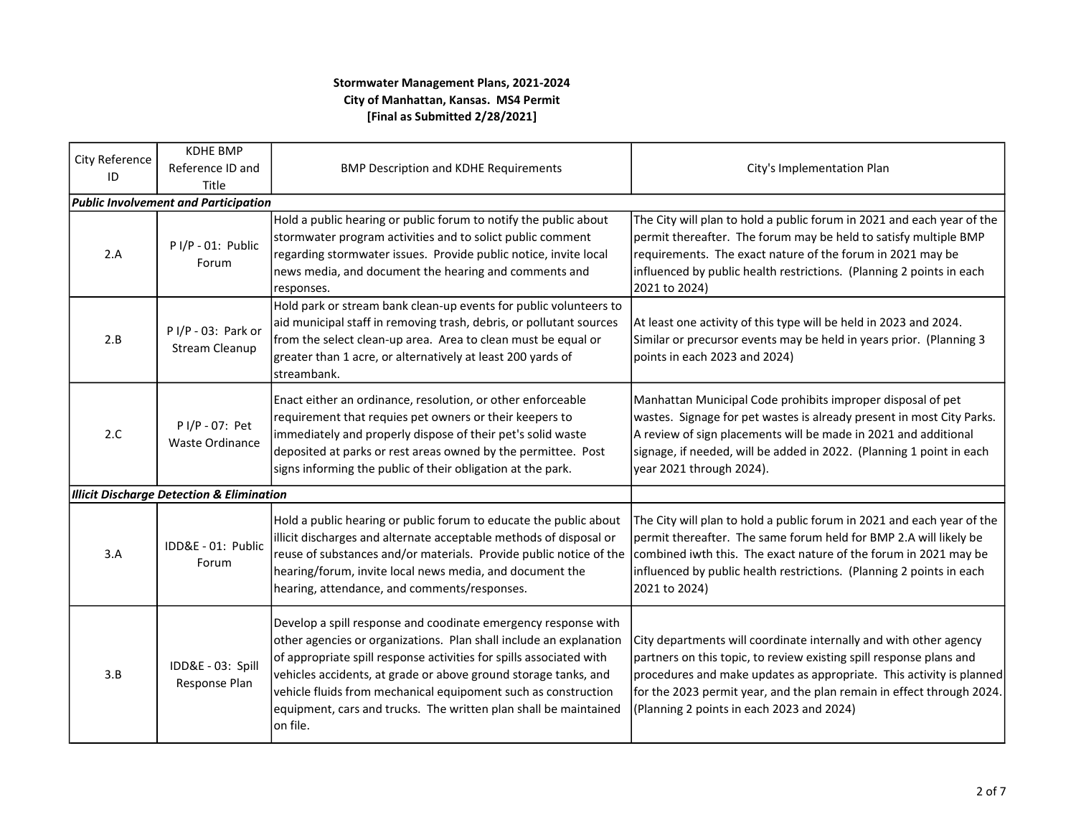| City Reference                                        | <b>KDHE BMP</b>                                 |                                                                                                                                                                                                                                                                                                                                                                                                                      |                                                                                                                                                                                                                                                                                                                                        |  |  |
|-------------------------------------------------------|-------------------------------------------------|----------------------------------------------------------------------------------------------------------------------------------------------------------------------------------------------------------------------------------------------------------------------------------------------------------------------------------------------------------------------------------------------------------------------|----------------------------------------------------------------------------------------------------------------------------------------------------------------------------------------------------------------------------------------------------------------------------------------------------------------------------------------|--|--|
| ID                                                    | Reference ID and                                | <b>BMP Description and KDHE Requirements</b>                                                                                                                                                                                                                                                                                                                                                                         | City's Implementation Plan                                                                                                                                                                                                                                                                                                             |  |  |
|                                                       | Title                                           |                                                                                                                                                                                                                                                                                                                                                                                                                      |                                                                                                                                                                                                                                                                                                                                        |  |  |
|                                                       | <b>Public Involvement and Participation</b>     |                                                                                                                                                                                                                                                                                                                                                                                                                      |                                                                                                                                                                                                                                                                                                                                        |  |  |
| 2.A                                                   | PI/P-01: Public<br>Forum                        | Hold a public hearing or public forum to notify the public about<br>stormwater program activities and to solict public comment<br>regarding stormwater issues. Provide public notice, invite local<br>news media, and document the hearing and comments and<br>responses.                                                                                                                                            | The City will plan to hold a public forum in 2021 and each year of the<br>permit thereafter. The forum may be held to satisfy multiple BMP<br>requirements. The exact nature of the forum in 2021 may be<br>influenced by public health restrictions. (Planning 2 points in each<br>2021 to 2024)                                      |  |  |
| 2.B                                                   | $P I/P - 03$ : Park or<br><b>Stream Cleanup</b> | Hold park or stream bank clean-up events for public volunteers to<br>aid municipal staff in removing trash, debris, or pollutant sources<br>from the select clean-up area. Area to clean must be equal or<br>greater than 1 acre, or alternatively at least 200 yards of<br>streambank.                                                                                                                              | At least one activity of this type will be held in 2023 and 2024.<br>Similar or precursor events may be held in years prior. (Planning 3<br>points in each 2023 and 2024)                                                                                                                                                              |  |  |
| 2.C                                                   | P I/P - 07: Pet<br>Waste Ordinance              | Enact either an ordinance, resolution, or other enforceable<br>requirement that requies pet owners or their keepers to<br>immediately and properly dispose of their pet's solid waste<br>deposited at parks or rest areas owned by the permittee. Post<br>signs informing the public of their obligation at the park.                                                                                                | Manhattan Municipal Code prohibits improper disposal of pet<br>wastes. Signage for pet wastes is already present in most City Parks.<br>A review of sign placements will be made in 2021 and additional<br>signage, if needed, will be added in 2022. (Planning 1 point in each<br>year 2021 through 2024).                            |  |  |
| <b>Illicit Discharge Detection &amp; Elimination</b>  |                                                 |                                                                                                                                                                                                                                                                                                                                                                                                                      |                                                                                                                                                                                                                                                                                                                                        |  |  |
| 3.A                                                   | IDD&E - 01: Public<br>Forum                     | Hold a public hearing or public forum to educate the public about<br>illicit discharges and alternate acceptable methods of disposal or<br>reuse of substances and/or materials. Provide public notice of the<br>hearing/forum, invite local news media, and document the<br>hearing, attendance, and comments/responses.                                                                                            | The City will plan to hold a public forum in 2021 and each year of the<br>permit thereafter. The same forum held for BMP 2.A will likely be<br>combined iwth this. The exact nature of the forum in 2021 may be<br>influenced by public health restrictions. (Planning 2 points in each<br>2021 to 2024)                               |  |  |
| IDD&E - 03: Spill<br>3.B<br>Response Plan<br>on file. |                                                 | Develop a spill response and coodinate emergency response with<br>other agencies or organizations. Plan shall include an explanation<br>of appropriate spill response activities for spills associated with<br>vehicles accidents, at grade or above ground storage tanks, and<br>vehicle fluids from mechanical equipoment such as construction<br>equipment, cars and trucks. The written plan shall be maintained | City departments will coordinate internally and with other agency<br>partners on this topic, to review existing spill response plans and<br>procedures and make updates as appropriate. This activity is planned<br>for the 2023 permit year, and the plan remain in effect through 2024.<br>(Planning 2 points in each 2023 and 2024) |  |  |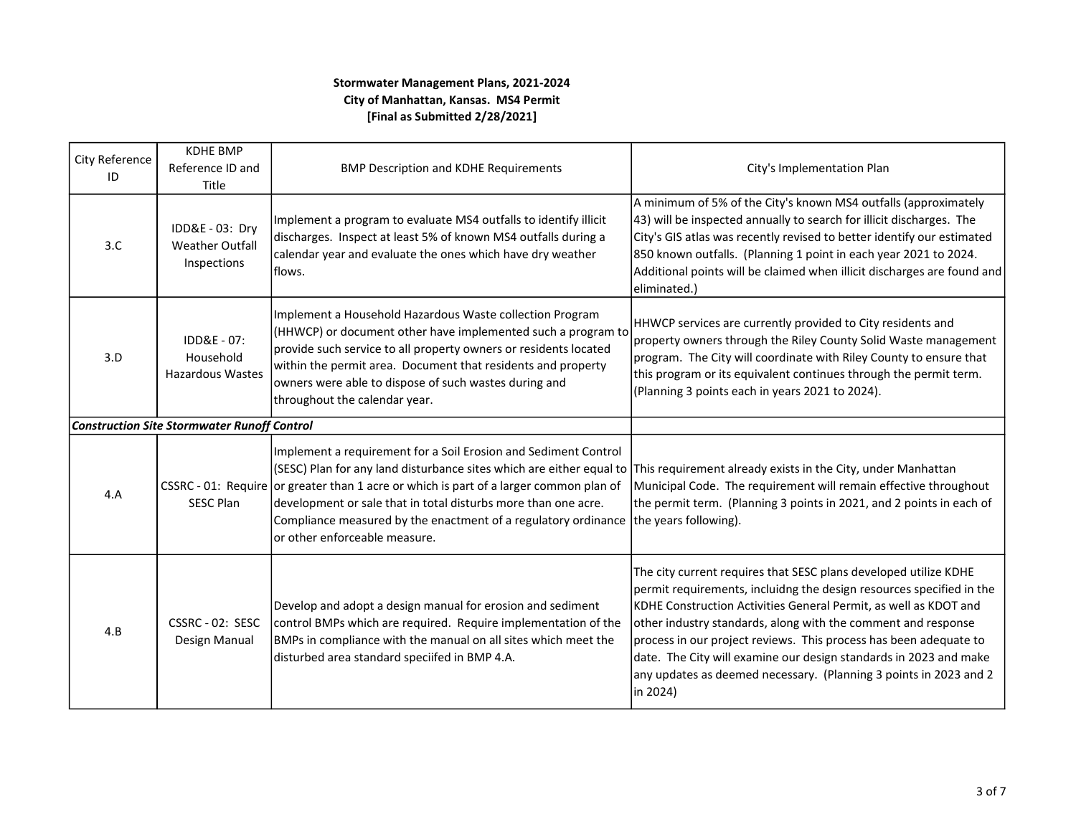| City Reference<br>ID                               | <b>KDHE BMP</b><br>Reference ID and<br>Title             | <b>BMP Description and KDHE Requirements</b>                                                                                                                                                                                                                                                                                                                                                                                                                                               | City's Implementation Plan                                                                                                                                                                                                                                                                                                                                                                                                                                                                               |  |  |
|----------------------------------------------------|----------------------------------------------------------|--------------------------------------------------------------------------------------------------------------------------------------------------------------------------------------------------------------------------------------------------------------------------------------------------------------------------------------------------------------------------------------------------------------------------------------------------------------------------------------------|----------------------------------------------------------------------------------------------------------------------------------------------------------------------------------------------------------------------------------------------------------------------------------------------------------------------------------------------------------------------------------------------------------------------------------------------------------------------------------------------------------|--|--|
| 3.C                                                | IDD&E - 03: Dry<br><b>Weather Outfall</b><br>Inspections | Implement a program to evaluate MS4 outfalls to identify illicit<br>discharges. Inspect at least 5% of known MS4 outfalls during a<br>calendar year and evaluate the ones which have dry weather<br>lflows.                                                                                                                                                                                                                                                                                | A minimum of 5% of the City's known MS4 outfalls (approximately<br>43) will be inspected annually to search for illicit discharges. The<br>City's GIS atlas was recently revised to better identify our estimated<br>850 known outfalls. (Planning 1 point in each year 2021 to 2024.<br>Additional points will be claimed when illicit discharges are found and<br>eliminated.)                                                                                                                         |  |  |
| 3.D                                                | IDD&E - 07:<br>Household<br><b>Hazardous Wastes</b>      | Implement a Household Hazardous Waste collection Program<br>(HHWCP) or document other have implemented such a program to<br>provide such service to all property owners or residents located<br>within the permit area. Document that residents and property<br>owners were able to dispose of such wastes during and<br>throughout the calendar year.                                                                                                                                     | HHWCP services are currently provided to City residents and<br>property owners through the Riley County Solid Waste management<br>program. The City will coordinate with Riley County to ensure that<br>this program or its equivalent continues through the permit term.<br>(Planning 3 points each in years 2021 to 2024).                                                                                                                                                                             |  |  |
| <b>Construction Site Stormwater Runoff Control</b> |                                                          |                                                                                                                                                                                                                                                                                                                                                                                                                                                                                            |                                                                                                                                                                                                                                                                                                                                                                                                                                                                                                          |  |  |
| 4.A                                                | <b>SESC Plan</b>                                         | Implement a requirement for a Soil Erosion and Sediment Control<br>(SESC) Plan for any land disturbance sites which are either equal to  This requirement already exists in the City, under Manhattan<br>CSSRC - 01: Require or greater than 1 acre or which is part of a larger common plan of<br>development or sale that in total disturbs more than one acre.<br>Compliance measured by the enactment of a regulatory ordinance the years following).<br>or other enforceable measure. | Municipal Code. The requirement will remain effective throughout<br>the permit term. (Planning 3 points in 2021, and 2 points in each of                                                                                                                                                                                                                                                                                                                                                                 |  |  |
| 4.B                                                | CSSRC - 02: SESC<br>Design Manual                        | Develop and adopt a design manual for erosion and sediment<br>control BMPs which are required. Require implementation of the<br>BMPs in compliance with the manual on all sites which meet the<br>disturbed area standard speciifed in BMP 4.A.                                                                                                                                                                                                                                            | The city current requires that SESC plans developed utilize KDHE<br>permit requirements, incluidng the design resources specified in the<br>KDHE Construction Activities General Permit, as well as KDOT and<br>other industry standards, along with the comment and response<br>process in our project reviews. This process has been adequate to<br>date. The City will examine our design standards in 2023 and make<br>any updates as deemed necessary. (Planning 3 points in 2023 and 2<br>in 2024) |  |  |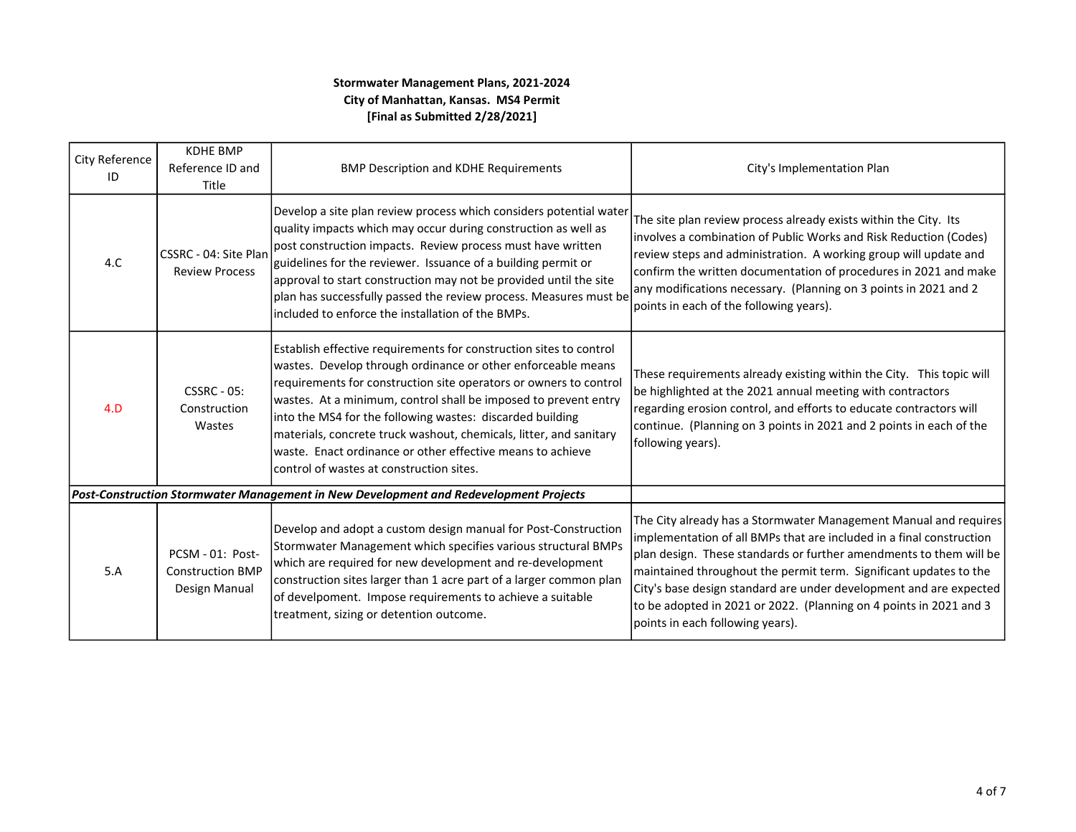| City Reference<br>ID | <b>KDHE BMP</b><br>Reference ID and<br>Title                                          | <b>BMP Description and KDHE Requirements</b>                                                                                                                                                                                                                                                                                                                                                                                                                                                                            | City's Implementation Plan                                                                                                                                                                                                                                                                                                                                                                                                                                                                                                                                                                                                                                                                           |  |
|----------------------|---------------------------------------------------------------------------------------|-------------------------------------------------------------------------------------------------------------------------------------------------------------------------------------------------------------------------------------------------------------------------------------------------------------------------------------------------------------------------------------------------------------------------------------------------------------------------------------------------------------------------|------------------------------------------------------------------------------------------------------------------------------------------------------------------------------------------------------------------------------------------------------------------------------------------------------------------------------------------------------------------------------------------------------------------------------------------------------------------------------------------------------------------------------------------------------------------------------------------------------------------------------------------------------------------------------------------------------|--|
| 4.C                  | CSSRC - 04: Site Plan<br><b>Review Process</b>                                        | Develop a site plan review process which considers potential water<br>quality impacts which may occur during construction as well as<br>post construction impacts. Review process must have written<br>guidelines for the reviewer. Issuance of a building permit or<br>approval to start construction may not be provided until the site<br>plan has successfully passed the review process. Measures must be<br>lincluded to enforce the installation of the BMPs.                                                    | The site plan review process already exists within the City. Its<br>involves a combination of Public Works and Risk Reduction (Codes)<br>review steps and administration. A working group will update and<br>confirm the written documentation of procedures in 2021 and make<br>any modifications necessary. (Planning on 3 points in 2021 and 2<br>points in each of the following years).<br>These requirements already existing within the City. This topic will<br>be highlighted at the 2021 annual meeting with contractors<br>regarding erosion control, and efforts to educate contractors will<br>continue. (Planning on 3 points in 2021 and 2 points in each of the<br>following years). |  |
| 4.D                  | <b>CSSRC - 05:</b><br>Construction<br>Wastes                                          | Establish effective requirements for construction sites to control<br>wastes. Develop through ordinance or other enforceable means<br>requirements for construction site operators or owners to control<br>wastes. At a minimum, control shall be imposed to prevent entry<br>into the MS4 for the following wastes: discarded building<br>materials, concrete truck washout, chemicals, litter, and sanitary<br>waste. Enact ordinance or other effective means to achieve<br>control of wastes at construction sites. |                                                                                                                                                                                                                                                                                                                                                                                                                                                                                                                                                                                                                                                                                                      |  |
|                      | Post-Construction Stormwater Management in New Development and Redevelopment Projects |                                                                                                                                                                                                                                                                                                                                                                                                                                                                                                                         |                                                                                                                                                                                                                                                                                                                                                                                                                                                                                                                                                                                                                                                                                                      |  |
| 5.A                  | PCSM - 01: Post-<br><b>Construction BMP</b><br>Design Manual                          | Develop and adopt a custom design manual for Post-Construction<br>Stormwater Management which specifies various structural BMPs<br>which are required for new development and re-development<br>construction sites larger than 1 acre part of a larger common plan<br>of develpoment. Impose requirements to achieve a suitable<br>treatment, sizing or detention outcome.                                                                                                                                              | The City already has a Stormwater Management Manual and requires<br>implementation of all BMPs that are included in a final construction<br>plan design. These standards or further amendments to them will be<br>maintained throughout the permit term. Significant updates to the<br>City's base design standard are under development and are expected<br>to be adopted in 2021 or 2022. (Planning on 4 points in 2021 and 3<br>points in each following years).                                                                                                                                                                                                                                  |  |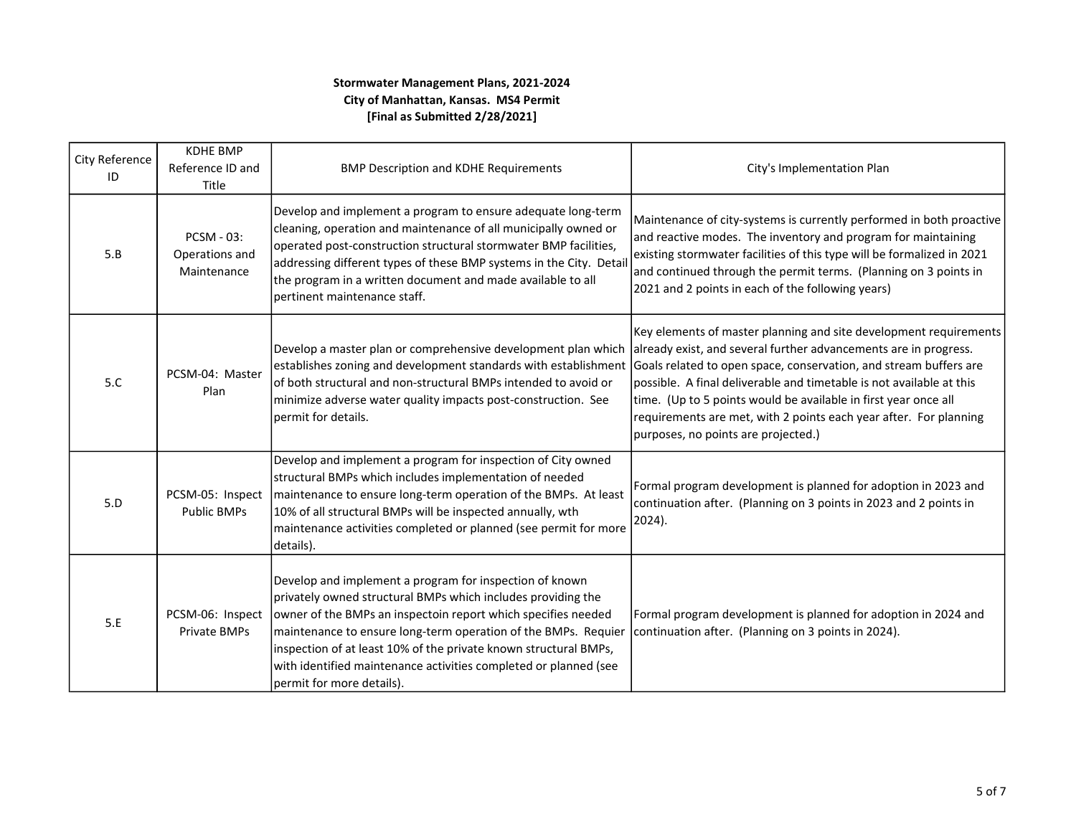| City Reference<br>ID | <b>KDHE BMP</b><br>Reference ID and<br>Title | <b>BMP Description and KDHE Requirements</b>                                                                                                                                                                                                                                                                                                                                                                                                                                          | City's Implementation Plan                                                                                                                                                                                                                                                                                                                                                                                                                                        |  |  |
|----------------------|----------------------------------------------|---------------------------------------------------------------------------------------------------------------------------------------------------------------------------------------------------------------------------------------------------------------------------------------------------------------------------------------------------------------------------------------------------------------------------------------------------------------------------------------|-------------------------------------------------------------------------------------------------------------------------------------------------------------------------------------------------------------------------------------------------------------------------------------------------------------------------------------------------------------------------------------------------------------------------------------------------------------------|--|--|
| 5.B                  | PCSM - 03:<br>Operations and<br>Maintenance  | Develop and implement a program to ensure adequate long-term<br>cleaning, operation and maintenance of all municipally owned or<br>operated post-construction structural stormwater BMP facilities,<br>addressing different types of these BMP systems in the City. Detail<br>the program in a written document and made available to all<br>pertinent maintenance staff.                                                                                                             | Maintenance of city-systems is currently performed in both proactive<br>and reactive modes. The inventory and program for maintaining<br>existing stormwater facilities of this type will be formalized in 2021<br>and continued through the permit terms. (Planning on 3 points in<br>2021 and 2 points in each of the following years)                                                                                                                          |  |  |
| 5.C                  | PCSM-04: Master<br>Plan                      | Develop a master plan or comprehensive development plan which<br>establishes zoning and development standards with establishment<br>of both structural and non-structural BMPs intended to avoid or<br>minimize adverse water quality impacts post-construction. See<br>permit for details.                                                                                                                                                                                           | Key elements of master planning and site development requirements<br>already exist, and several further advancements are in progress.<br>Goals related to open space, conservation, and stream buffers are<br>possible. A final deliverable and timetable is not available at this<br>time. (Up to 5 points would be available in first year once all<br>requirements are met, with 2 points each year after. For planning<br>purposes, no points are projected.) |  |  |
| 5.D                  | PCSM-05: Inspect<br><b>Public BMPs</b>       | Develop and implement a program for inspection of City owned<br>structural BMPs which includes implementation of needed<br>maintenance to ensure long-term operation of the BMPs. At least<br>10% of all structural BMPs will be inspected annually, wth<br>maintenance activities completed or planned (see permit for more<br>details).                                                                                                                                             | Formal program development is planned for adoption in 2023 and<br>continuation after. (Planning on 3 points in 2023 and 2 points in<br>$2024$ ).                                                                                                                                                                                                                                                                                                                  |  |  |
| 5.E                  | PCSM-06: Inspect<br>Private BMPs             | Develop and implement a program for inspection of known<br>privately owned structural BMPs which includes providing the<br>owner of the BMPs an inspectoin report which specifies needed<br> maintenance to ensure long-term operation of the BMPs. Requier  continuation after. (Planning on 3 points in 2024).<br>inspection of at least 10% of the private known structural BMPs,<br>with identified maintenance activities completed or planned (see<br>permit for more details). | Formal program development is planned for adoption in 2024 and                                                                                                                                                                                                                                                                                                                                                                                                    |  |  |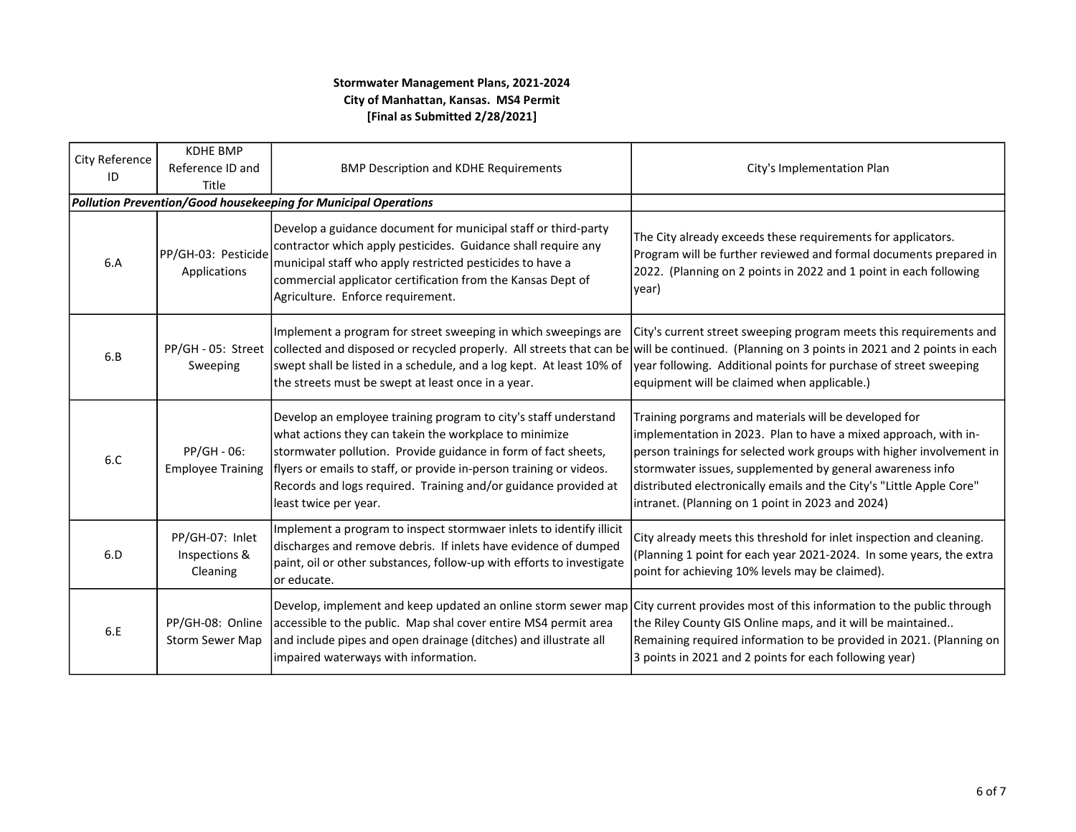| City Reference<br>ID | <b>KDHE BMP</b><br>Reference ID and<br>Title | <b>BMP Description and KDHE Requirements</b>                                                                                                                                                                                                                                                                                                                   | City's Implementation Plan                                                                                                                                                                                                                                                                                                                                                                |  |
|----------------------|----------------------------------------------|----------------------------------------------------------------------------------------------------------------------------------------------------------------------------------------------------------------------------------------------------------------------------------------------------------------------------------------------------------------|-------------------------------------------------------------------------------------------------------------------------------------------------------------------------------------------------------------------------------------------------------------------------------------------------------------------------------------------------------------------------------------------|--|
|                      |                                              | Pollution Prevention/Good housekeeping for Municipal Operations                                                                                                                                                                                                                                                                                                |                                                                                                                                                                                                                                                                                                                                                                                           |  |
| 6.A                  | PP/GH-03: Pesticide<br>Applications          | Develop a guidance document for municipal staff or third-party<br>contractor which apply pesticides. Guidance shall require any<br>municipal staff who apply restricted pesticides to have a<br>commercial applicator certification from the Kansas Dept of<br>Agriculture. Enforce requirement.                                                               | The City already exceeds these requirements for applicators.<br>Program will be further reviewed and formal documents prepared in<br>2022. (Planning on 2 points in 2022 and 1 point in each following<br>lyear)                                                                                                                                                                          |  |
| 6.B                  | PP/GH - 05: Street<br>Sweeping               | Implement a program for street sweeping in which sweepings are<br>swept shall be listed in a schedule, and a log kept. At least 10% of<br>the streets must be swept at least once in a year.                                                                                                                                                                   | City's current street sweeping program meets this requirements and<br>collected and disposed or recycled properly. All streets that can be will be continued. (Planning on 3 points in 2021 and 2 points in each<br>year following. Additional points for purchase of street sweeping<br>equipment will be claimed when applicable.)                                                      |  |
| 6.C                  | PP/GH - 06:<br><b>Employee Training</b>      | Develop an employee training program to city's staff understand<br>what actions they can takein the workplace to minimize<br>stormwater pollution. Provide guidance in form of fact sheets,<br>flyers or emails to staff, or provide in-person training or videos.<br>Records and logs required. Training and/or guidance provided at<br>least twice per year. | Training porgrams and materials will be developed for<br>implementation in 2023. Plan to have a mixed approach, with in-<br>person trainings for selected work groups with higher involvement in<br>stormwater issues, supplemented by general awareness info<br>distributed electronically emails and the City's "Little Apple Core"<br>intranet. (Planning on 1 point in 2023 and 2024) |  |
| 6.D                  | PP/GH-07: Inlet<br>Inspections &<br>Cleaning | Implement a program to inspect stormwaer inlets to identify illicit<br>discharges and remove debris. If inlets have evidence of dumped<br>paint, oil or other substances, follow-up with efforts to investigate<br>or educate.                                                                                                                                 | City already meets this threshold for inlet inspection and cleaning.<br>(Planning 1 point for each year 2021-2024. In some years, the extra<br>point for achieving 10% levels may be claimed).                                                                                                                                                                                            |  |
| 6.E                  | PP/GH-08: Online<br>Storm Sewer Map          | accessible to the public. Map shal cover entire MS4 permit area<br>and include pipes and open drainage (ditches) and illustrate all<br>impaired waterways with information.                                                                                                                                                                                    | Develop, implement and keep updated an online storm sewer map City current provides most of this information to the public through<br>the Riley County GIS Online maps, and it will be maintained<br>Remaining required information to be provided in 2021. (Planning on<br>3 points in 2021 and 2 points for each following year)                                                        |  |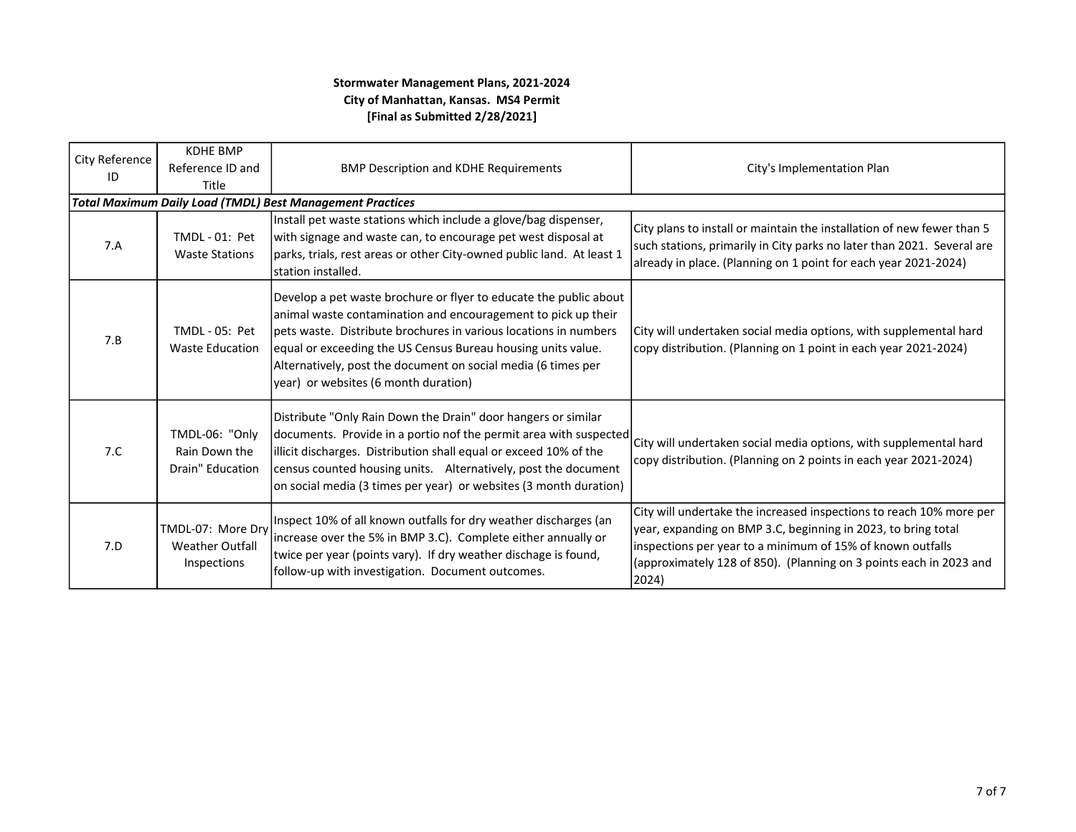| City Reference<br>ID | <b>KDHE BMP</b><br>Reference ID and<br>Title               | <b>BMP Description and KDHE Requirements</b>                                                                                                                                                                                                                                                                                                                                     | City's Implementation Plan                                                                                                                                                                                                                                                        |  |  |  |
|----------------------|------------------------------------------------------------|----------------------------------------------------------------------------------------------------------------------------------------------------------------------------------------------------------------------------------------------------------------------------------------------------------------------------------------------------------------------------------|-----------------------------------------------------------------------------------------------------------------------------------------------------------------------------------------------------------------------------------------------------------------------------------|--|--|--|
|                      |                                                            | <b>Total Maximum Daily Load (TMDL) Best Management Practices</b>                                                                                                                                                                                                                                                                                                                 |                                                                                                                                                                                                                                                                                   |  |  |  |
| 7.A                  | TMDL - 01: Pet<br><b>Waste Stations</b>                    | Install pet waste stations which include a glove/bag dispenser,<br>with signage and waste can, to encourage pet west disposal at<br>parks, trials, rest areas or other City-owned public land. At least 1<br>station installed.                                                                                                                                                  | City plans to install or maintain the installation of new fewer than 5<br>such stations, primarily in City parks no later than 2021. Several are<br>already in place. (Planning on 1 point for each year 2021-2024)                                                               |  |  |  |
| 7.B                  | TMDL - 05: Pet<br><b>Waste Education</b>                   | Develop a pet waste brochure or flyer to educate the public about<br>animal waste contamination and encouragement to pick up their<br>lpets waste. Distribute brochures in various locations in numbers<br>equal or exceeding the US Census Bureau housing units value.<br>Alternatively, post the document on social media (6 times per<br>year) or websites (6 month duration) | City will undertaken social media options, with supplemental hard<br>copy distribution. (Planning on 1 point in each year 2021-2024)                                                                                                                                              |  |  |  |
| 7.C                  | TMDL-06: "Only<br>Rain Down the<br>Drain" Education        | Distribute "Only Rain Down the Drain" door hangers or similar<br>documents. Provide in a portio nof the permit area with suspected<br>illicit discharges. Distribution shall equal or exceed 10% of the<br>census counted housing units. Alternatively, post the document<br>on social media (3 times per year) or websites (3 month duration)                                   | City will undertaken social media options, with supplemental hard<br>copy distribution. (Planning on 2 points in each year 2021-2024)                                                                                                                                             |  |  |  |
| 7.D                  | TMDL-07: More Dry<br><b>Weather Outfall</b><br>Inspections | Inspect 10% of all known outfalls for dry weather discharges (an<br>increase over the 5% in BMP 3.C). Complete either annually or<br>twice per year (points vary). If dry weather dischage is found,<br>follow-up with investigation. Document outcomes.                                                                                                                         | City will undertake the increased inspections to reach 10% more per<br>year, expanding on BMP 3.C, beginning in 2023, to bring total<br>inspections per year to a minimum of 15% of known outfalls<br>(approximately 128 of 850). (Planning on 3 points each in 2023 and<br>2024) |  |  |  |